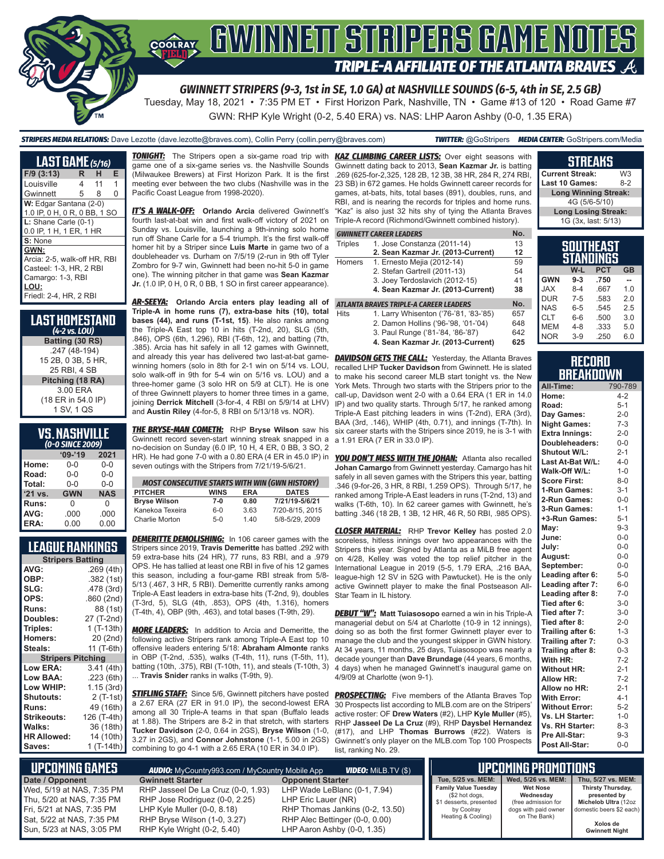

# **SOFRAY, GWINNETT STRIPERS GAME NOTES** TRIPLE-A AFFILIATE OF THE ATLANTA BRAVES  $\mathcal{A}$

*GWINNETT STRIPERS (9-3, 1st in SE, 1.0 GA) at NASHVILLE SOUNDS (6-5, 4th in SE, 2.5 GB)*

Tuesday, May 18, 2021 • 7:35 PM ET • First Horizon Park, Nashville, TN • Game #13 of 120 • Road Game #7 GWN: RHP Kyle Wright (0-2, 5.40 ERA) vs. NAS: LHP Aaron Ashby (0-0, 1.35 ERA)

*STRIPERS MEDIA RELATIONS:* Dave Lezotte (dave.lezotte@braves.com), Collin Perry (collin.perry@braves.com) *TWITTER:* @GoStripers *MEDIA CENTER:* GoStripers.com/Media

**LAST GAME** *(5/16)* **F/9 (3:13) R H E** Louisville 4 11 1 Gwinnett 5 8 0 **W:** Edgar Santana (2-0) 1.0 IP, 0 H, 0 R, 0 BB, 1 SO **L:** Shane Carle (0-1) 0.0 IP, 1 H, 1 ER, 1 HR **S:** None **GWN:** Arcia: 2-5, walk-off HR, RBI Casteel: 1-3, HR, 2 RBI Camargo: 1-3, RBI **LOU:** Friedl: 2-4, HR, 2 RBI

| Last Homestand<br>$(4-2$ vs. LOU) |
|-----------------------------------|
| Batting (30 RS)                   |
| .247 (48-194)                     |
| 15 2B, 0 3B, 5 HR,                |
| 25 RBI, 4 SB                      |
| Pitching (18 RA)                  |
| 3.00 ERA                          |
| (18 ER in 54.0 IP)                |
| 1 SV, 1 QS                        |

| VS.NASHVILLE<br>(0-0 SINCE 2009) |            |            |  |  |  |  |
|----------------------------------|------------|------------|--|--|--|--|
|                                  | $'09-'19$  | 2021       |  |  |  |  |
| Home:                            | $0 - 0$    | $0-0$      |  |  |  |  |
| Road:                            | $0 - 0$    | $0 - 0$    |  |  |  |  |
| Total:                           | $0 - 0$    | $0 - 0$    |  |  |  |  |
| '21 vs.                          | <b>GWN</b> | <b>NAS</b> |  |  |  |  |
| Runs:                            | 0          | $\Omega$   |  |  |  |  |
| AVG:                             | .000       | .000       |  |  |  |  |
| ERA:                             | 0.00       | 0.00       |  |  |  |  |

## **LEAGUE RANKINGS**

| <b>Stripers Batting</b>  |                |  |  |  |  |  |
|--------------------------|----------------|--|--|--|--|--|
| AVG:                     | .269 (4th)     |  |  |  |  |  |
| OBP:                     | .382 (1st)     |  |  |  |  |  |
| SLG:                     | .478 (3rd)     |  |  |  |  |  |
| OPS:                     | .860 (2nd)     |  |  |  |  |  |
| <b>Runs:</b>             | 88 (1st)       |  |  |  |  |  |
| <b>Doubles:</b>          | 27 (T-2nd)     |  |  |  |  |  |
| Triples:                 | $1(T-13th)$    |  |  |  |  |  |
| <b>Homers:</b>           | 20 (2nd)       |  |  |  |  |  |
| Steals:                  | 11 (T-6th)     |  |  |  |  |  |
| <b>Stripers Pitching</b> |                |  |  |  |  |  |
| <b>Low ERA:</b>          | 3.41(4th)      |  |  |  |  |  |
| Low BAA:                 | .223(6th)      |  |  |  |  |  |
| Low WHIP:                | 1.15 (3rd)     |  |  |  |  |  |
| <b>Shutouts:</b>         | $2($ T-1st $)$ |  |  |  |  |  |
| <b>Runs:</b>             | 49 (16th)      |  |  |  |  |  |
| Strikeouts:              | 126 (T-4th)    |  |  |  |  |  |
| Walks:                   | 36 (18th)      |  |  |  |  |  |
| <b>HR Allowed:</b>       | 14 (10th)      |  |  |  |  |  |
| Saves:                   | 1 (T-14th)     |  |  |  |  |  |

*TONIGHT:* The Stripers open a six-game road trip with *KAZ CLIMBING CAREER LISTS:* Over eight seasons with game one of a six-game series vs. the Nashville Sounds (Milwaukee Brewers) at First Horizon Park. It is the first meeting ever between the two clubs (Nashville was in the Pacific Coast League from 1998-2020).

*IT'S A WALK-OFF:* **Orlando Arcia** delivered Gwinnett's fourth last-at-bat win and first walk-off victory of 2021 on Sunday vs. Louisville, launching a 9th-inning solo home run off Shane Carle for a 5-4 triumph. It's the first walk-off homer hit by a Striper since **Luis Marte** in game two of a doubleheader vs. Durham on 7/5/19 (2-run in 9th off Tyler Zombro for 9-7 win, Gwinnett had been no-hit 5-0 in game one). The winning pitcher in that game was **Sean Kazmar Jr.** (1.0 IP, 0 H, 0 R, 0 BB, 1 SO in first career appearance).

*AR-SEEYA:* **Orlando Arcia enters play leading all of Triple-A in home runs (7), extra-base hits (10), total bases (44), and runs (T-1st, 15)**. He also ranks among the Triple-A East top 10 in hits (T-2nd, 20), SLG (5th, .846), OPS (6th, 1.296), RBI (T-6th, 12), and batting (7th, .385). Arcia has hit safely in all 12 games with Gwinnett, and already this year has delivered two last-at-bat gamewinning homers (solo in 8th for 2-1 win on 5/14 vs. LOU, solo walk-off in 9th for 5-4 win on 5/16 vs. LOU) and a three-homer game (3 solo HR on 5/9 at CLT). He is one of three Gwinnett players to homer three times in a game, joining **Derrick Mitchell** (3-for-4, 4 RBI on 5/9/14 at LHV) and **Austin Riley** (4-for-5, 8 RBI on 5/13/18 vs. NOR).

*THE BRYSE-MAN COMETH:* RHP **Bryse Wilson** saw his Gwinnett record seven-start winning streak snapped in a no-decision on Sunday (6.0 IP, 10 H, 4 ER, 0 BB, 3 SO, 2 HR). He had gone 7-0 with a 0.80 ERA (4 ER in 45.0 IP) in seven outings with the Stripers from 7/21/19-5/6/21.

| <b>MOST CONSECUTIVE STARTS WITH WIN (GWN HISTORY)</b> |             |            |                 |  |  |  |  |
|-------------------------------------------------------|-------------|------------|-----------------|--|--|--|--|
| <b>PITCHER</b>                                        | <b>WINS</b> | <b>FRA</b> | <b>DATES</b>    |  |  |  |  |
| <b>Bryse Wilson</b>                                   | 7-0         | 0.80       | 7/21/19-5/6/21  |  |  |  |  |
| Kanekoa Texeira                                       | 6-0         | 3.63       | 7/20-8/15, 2015 |  |  |  |  |
| Charlie Morton                                        | $5-0$       | 140        | 5/8-5/29, 2009  |  |  |  |  |

**DEMERITTE DEMOLISHING:** In 106 career games with the Stripers since 2019, **Travis Demeritte** has batted .292 with 59 extra-base hits (24 HR), 77 runs, 83 RBI, and a .979 OPS. He has tallied at least one RBI in five of his 12 games this season, including a four-game RBI streak from 5/8- 5/13 (.467, 3 HR, 5 RBI). Demeritte currently ranks among Triple-A East leaders in extra-base hits (T-2nd, 9), doubles (T-3rd, 5), SLG (4th, .853), OPS (4th, 1.316), homers (T-4th, 4), OBP (9th, .463), and total bases (T-9th, 29).

*MORE LEADERS:* In addition to Arcia and Demeritte, the following active Stripers rank among Triple-A East top 10 offensive leaders entering 5/18: **Abraham Almonte** ranks in OBP (T-2nd, .535), walks (T-4th, 11), runs (T-5th, 11), batting (10th, .375), RBI (T-10th, 11), and steals (T-10th, 3) 4 days) when he managed Gwinnett's inaugural game on ... **Travis Snider** ranks in walks (T-9th, 9).

**STIFLING STAFF:** Since 5/6, Gwinnett pitchers have posted a 2.67 ERA (27 ER in 91.0 IP), the second-lowest ERA among all 30 Triple-A teams in that span (Buffalo leads at 1.88). The Stripers are 8-2 in that stretch, with starters **Tucker Davidson** (2-0, 0.64 in 2GS), **Bryse Wilson** (1-0, 3.27 in 2GS), and **Connor Johnstone** (1-1, 5.00 in 2GS) combining to go 4-1 with a 2.65 ERA (10 ER in 34.0 IP).

Gwinnett dating back to 2013, **Sean Kazmar Jr.** is batting .269 (625-for-2,325, 128 2B, 12 3B, 38 HR, 284 R, 274 RBI, 23 SB) in 672 games. He holds Gwinnett career records for games, at-bats, hits, total bases (891), doubles, runs, and RBI, and is nearing the records for triples and home runs. "Kaz" is also just 32 hits shy of tying the Atlanta Braves Triple-A record (Richmond/Gwinnett combined history).

#### *GWINNETT CAREER LEADERS* **No.**

| <b>Triples</b> | 1. Jose Constanza (2011-14)       | 13 |
|----------------|-----------------------------------|----|
|                | 2. Sean Kazmar Jr. (2013-Current) | 12 |
| Homers         | 1. Ernesto Mejia (2012-14)        | 59 |
|                | 2. Stefan Gartrell (2011-13)      | 54 |
|                | 3. Joey Terdoslavich (2012-15)    | 41 |
|                | 4. Sean Kazmar Jr. (2013-Current) | 38 |
|                |                                   |    |

#### *ATLANTA BRAVES TRIPLE-A CAREER LEADERS* **No.**

- Hits 1. Larry Whisenton ('76-'81, '83-'85) 657 2. Damon Hollins ('96-'98, '01-'04) 648<br>3. Paul Runge ('81-'84, '86-'87) 642
	- 3. Paul Runge ('81-'84, '86-'87) **4. Sean Kazmar Jr. (2013-Current) 625**

**DAVIDSON GETS THE CALL:** Yesterday, the Atlanta Braves recalled LHP **Tucker Davidson** from Gwinnett. He is slated to make his second career MLB start tonight vs. the New York Mets. Through two starts with the Stripers prior to the call-up, Davidson went 2-0 with a 0.64 ERA (1 ER in 14.0 IP) and two quality starts. Through 5/17, he ranked among Triple-A East pitching leaders in wins (T-2nd), ERA (3rd), BAA (3rd, .146), WHIP (4th, 0.71), and innings (T-7th). In six career starts with the Stripers since 2019, he is 3-1 with a 1.91 ERA (7 ER in 33.0 IP).

*YOU DON'T MESS WITH THE JOHAN:* Atlanta also recalled **Johan Camargo** from Gwinnett yesterday. Camargo has hit safely in all seven games with the Stripers this year, batting .346 (9-for-26, 3 HR, 8 RBI, 1.259 OPS). Through 5/17, he ranked among Triple-A East leaders in runs (T-2nd, 13) and walks (T-6th, 10). In 62 career games with Gwinnett, he's batting .346 (18 2B, 1 3B, 12 HR, 46 R, 50 RBI, .985 OPS).

*CLOSER MATERIAL:* RHP **Trevor Kelley** has posted 2.0 scoreless, hitless innings over two appearances with the Stripers this year. Signed by Atlanta as a MiLB free agent on 4/28, Kelley was voted the top relief pitcher in the International League in 2019 (5-5, 1.79 ERA, .216 BAA, league-high 12 SV in 52G with Pawtucket). He is the only active Gwinnett player to make the final Postseason All-Star Team in IL history.

*DEBUT "W":* **Matt Tuiasosopo** earned a win in his Triple-A managerial debut on 5/4 at Charlotte (10-9 in 12 innings), doing so as both the first former Gwinnett player ever to manage the club and the youngest skipper in GWN history. At 34 years, 11 months, 25 days, Tuiasosopo was nearly a decade younger than **Dave Brundage** (44 years, 6 months, 4/9/09 at Charlotte (won 9-1).

**PROSPECTING:** Five members of the Atlanta Braves Top 30 Prospects list according to MLB.com are on the Stripers' active roster: OF **Drew Waters** (#2), LHP **Kyle Muller** (#5), RHP **Jasseel De La Cruz** (#9), RHP **Daysbel Hernandez** (#17), and LHP **Thomas Burrows** (#22). Waters is Gwinnett's only player on the MLB.com Top 100 Prospects list, ranking No. 29.

#### **STREAKS Current Streak:** W3<br>**Last 10 Games:** 8-2 **Last 10 Games: Long Winning Streak:** 4G (5/6-5/10) **Long Losing Streak:** 1G (3x, last: 5/13) **SOUTHEAST**

|            |         | ו במאוועש<br>STANDINGS |           |
|------------|---------|------------------------|-----------|
|            | W-L     | <b>PCT</b>             | <b>GB</b> |
| <b>GWN</b> | $9 - 3$ | .750                   |           |
| <b>JAX</b> | $8 - 4$ | .667                   | 1.0       |
| <b>DUR</b> | $7 - 5$ | .583                   | 20        |
| <b>NAS</b> | $6 - 5$ | .545                   | 2.5       |
| <b>CLT</b> | 6-6     | .500                   | 3.0       |
| <b>MEM</b> | $4 - 8$ | .333                   | 5.0       |
| <b>NOR</b> | $3-9$   | .250                   | 6.0       |

#### **RECORD BREAKDOWN**

| All-Time:             | 790-789 |
|-----------------------|---------|
| Home:                 | $4 - 2$ |
| Road:                 | $5 - 1$ |
| Day Games:            | $2 - 0$ |
| <b>Night Games:</b>   | $7-3$   |
| <b>Extra Innings:</b> | $2 - 0$ |
| Doubleheaders:        | $0 - 0$ |
| Shutout W/L:          | $2 - 1$ |
| Last At-Bat W/L:      | $4 - 0$ |
| Walk-Off W/L:         | $1 - 0$ |
| <b>Score First:</b>   | $8 - 0$ |
| 1-Run Games:          | $3 - 1$ |
| 2-Run Games:          | $0-0$   |
| 3-Run Games:          | $1 - 1$ |
| +3-Run Games:         | $5 - 1$ |
| May:                  | $9 - 3$ |
| June:                 | $0 - 0$ |
| July:                 | $0 - 0$ |
| August:               | $0-0$   |
| September:            | $0-0$   |
| Leading after 6:      | $5-0$   |
| Leading after 7:      | $6 - 0$ |
| Leading after 8:      | $7 - 0$ |
| Tied after 6:         | $3 - 0$ |
| Tied after 7:         | $3 - 0$ |
| Tied after 8:         | $2 - 0$ |
| Trailing after 6:     | $1 - 3$ |
| Trailing after 7:     | $0 - 3$ |
| Trailing after 8:     | $0 - 3$ |
| With HR:              | $7 - 2$ |
| <b>Without HR:</b>    | $2 - 1$ |
| <b>Allow HR:</b>      | $7 - 2$ |
| Allow no HR:          | $2 - 1$ |
| <b>With Error:</b>    | $4 - 1$ |
| <b>Without Error:</b> | $5 - 2$ |
| Vs. LH Starter:       | $1 - 0$ |
| Vs. RH Starter:       | $8 - 3$ |
| Pre All-Star:         | $9 - 3$ |
| Post All-Star:        | $0 - 0$ |

| I UPCOMING GAMES "                                                                                               | <b>AUDIO:</b> MyCountry993.com / MyCountry Mobile App                                                                                 | <b>VIDEO:</b> MiLB.TV $(\$)$                                                                                             |                                                                                                              | <b>UPCOMING PROMOTIONS</b>                                                                  |                                                                                       |
|------------------------------------------------------------------------------------------------------------------|---------------------------------------------------------------------------------------------------------------------------------------|--------------------------------------------------------------------------------------------------------------------------|--------------------------------------------------------------------------------------------------------------|---------------------------------------------------------------------------------------------|---------------------------------------------------------------------------------------|
| Date / Opponent                                                                                                  | <b>Gwinnett Starter</b>                                                                                                               | <b>Opponent Starter</b>                                                                                                  | Tue. 5/25 vs. MEM:                                                                                           | Wed. 5/26 vs. MEM:                                                                          | Thu, 5/27 vs. MEM:                                                                    |
| Wed. 5/19 at NAS. 7:35 PM<br>Thu, 5/20 at NAS, 7:35 PM<br>Fri. 5/21 at NAS. 7:35 PM<br>Sat. 5/22 at NAS. 7:35 PM | RHP Jasseel De La Cruz (0-0, 1.93)<br>RHP Jose Rodriguez (0-0, 2.25)<br>LHP Kyle Muller $(0-0, 8.18)$<br>RHP Bryse Wilson (1-0, 3.27) | LHP Wade LeBlanc (0-1, 7.94)<br>LHP Eric Lauer (NR)<br>RHP Thomas Jankins (0-2, 13.50)<br>RHP Alec Bettinger (0-0, 0.00) | <b>Family Value Tuesday</b><br>(\$2 hot dogs,<br>\$1 desserts, presented<br>by Coolray<br>Heating & Cooling) | <b>Wet Nose</b><br>Wednesdav<br>(free admission for<br>dogs with paid owner<br>on The Bank) | Thirsty Thursday,<br>presented by<br>Michelob Ultra (12oz<br>domestic beers \$2 each) |
| Sun. 5/23 at NAS. 3:05 PM                                                                                        | RHP Kyle Wright (0-2, 5.40)                                                                                                           | LHP Aaron Ashby (0-0, 1.35)                                                                                              |                                                                                                              |                                                                                             | <b>Gwinnett Night</b>                                                                 |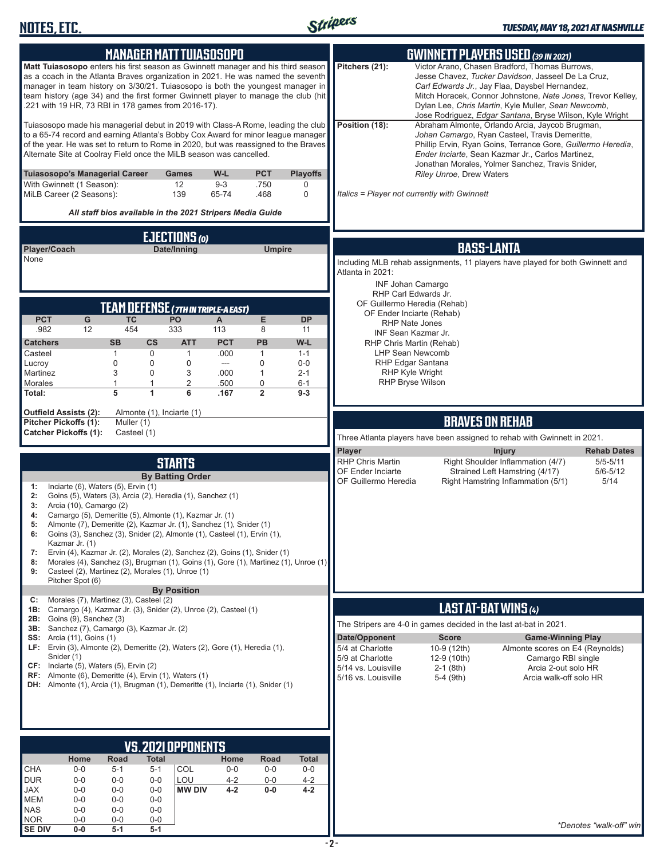

| <b>MANAGER MATT TUIASOSOPO</b>                                                                                                                                                                                                                                                                                                                                                                     | <b>GWINNETT PLAYERS USED (39 IN 2021)</b>                                                                                                                                                                                                                                                                                                                  |
|----------------------------------------------------------------------------------------------------------------------------------------------------------------------------------------------------------------------------------------------------------------------------------------------------------------------------------------------------------------------------------------------------|------------------------------------------------------------------------------------------------------------------------------------------------------------------------------------------------------------------------------------------------------------------------------------------------------------------------------------------------------------|
| Matt Tuiasosopo enters his first season as Gwinnett manager and his third season<br>as a coach in the Atlanta Braves organization in 2021. He was named the seventh<br>manager in team history on 3/30/21. Tuiasosopo is both the youngest manager in<br>team history (age 34) and the first former Gwinnett player to manage the club (hit<br>.221 with 19 HR, 73 RBI in 178 games from 2016-17). | Victor Arano, Chasen Bradford, Thomas Burrows,<br>Pitchers (21):<br>Jesse Chavez, Tucker Davidson, Jasseel De La Cruz,<br>Carl Edwards Jr., Jay Flaa, Daysbel Hernandez,<br>Mitch Horacek, Connor Johnstone, Nate Jones, Trevor Kelley,<br>Dylan Lee, Chris Martin, Kyle Muller, Sean Newcomb,<br>Jose Rodriguez, Edgar Santana, Bryse Wilson, Kyle Wright |
| Tuiasosopo made his managerial debut in 2019 with Class-A Rome, leading the club<br>to a 65-74 record and earning Atlanta's Bobby Cox Award for minor league manager<br>of the year. He was set to return to Rome in 2020, but was reassigned to the Braves<br>Alternate Site at Coolray Field once the MiLB season was cancelled.                                                                 | Position (18):<br>Abraham Almonte, Orlando Arcia, Jaycob Brugman,<br>Johan Camargo, Ryan Casteel, Travis Demeritte,<br>Phillip Ervin, Ryan Goins, Terrance Gore, Guillermo Heredia,<br>Ender Inciarte, Sean Kazmar Jr., Carlos Martinez,<br>Jonathan Morales, Yolmer Sanchez, Travis Snider,                                                               |
| Tuiasosopo's Managerial Career<br>W-L<br><b>PCT</b><br><b>Playoffs</b><br><b>Games</b><br>12<br>$9 - 3$<br>With Gwinnett (1 Season):<br>.750<br>0<br>MiLB Career (2 Seasons):<br>139<br>0<br>65-74<br>.468                                                                                                                                                                                         | Riley Unroe, Drew Waters<br>Italics = Player not currently with Gwinnett                                                                                                                                                                                                                                                                                   |
| All staff bios available in the 2021 Stripers Media Guide                                                                                                                                                                                                                                                                                                                                          |                                                                                                                                                                                                                                                                                                                                                            |
| <b>EJECTIONS</b> (0)                                                                                                                                                                                                                                                                                                                                                                               |                                                                                                                                                                                                                                                                                                                                                            |
| Player/Coach<br>Date/Inning<br><b>Umpire</b><br>None                                                                                                                                                                                                                                                                                                                                               | <b>BASS-LANTA</b><br>Including MLB rehab assignments, 11 players have played for both Gwinnett and                                                                                                                                                                                                                                                         |
|                                                                                                                                                                                                                                                                                                                                                                                                    | Atlanta in 2021:                                                                                                                                                                                                                                                                                                                                           |
|                                                                                                                                                                                                                                                                                                                                                                                                    | <b>INF Johan Camargo</b><br>RHP Carl Edwards Jr.                                                                                                                                                                                                                                                                                                           |
| <b>TEAM DEFENSE (7TH IN TRIPLE-A EAST)</b><br><b>PCT</b><br><b>TC</b><br>E<br>G<br>PO<br>A<br><b>DP</b>                                                                                                                                                                                                                                                                                            | OF Guillermo Heredia (Rehab)<br>OF Ender Inciarte (Rehab)                                                                                                                                                                                                                                                                                                  |
| 454<br>333<br>.982<br>12<br>8<br>113<br>11                                                                                                                                                                                                                                                                                                                                                         | <b>RHP Nate Jones</b><br><b>INF Sean Kazmar Jr.</b>                                                                                                                                                                                                                                                                                                        |
| <b>SB</b><br><b>ATT</b><br><b>PCT</b><br><b>PB</b><br>W-L<br><b>Catchers</b><br>$\mathsf{cs}$<br>Casteel<br>0<br>$\mathbf{1}$<br>.000<br>$\mathbf{1}$<br>1<br>$1 - 1$                                                                                                                                                                                                                              | RHP Chris Martin (Rehab)<br><b>LHP Sean Newcomb</b>                                                                                                                                                                                                                                                                                                        |
| $\mathbf 0$<br>$\mathbf 0$<br>0<br>0<br>$0-0$<br>Lucroy<br>---                                                                                                                                                                                                                                                                                                                                     | RHP Edgar Santana                                                                                                                                                                                                                                                                                                                                          |
| 3<br>$\mathbf 0$<br>3<br>$\mathbf{1}$<br>Martinez<br>.000<br>$2 - 1$<br>2<br>1<br>$\mathbf{1}$<br>$\mathbf 0$<br>Morales<br>.500<br>$6 - 1$                                                                                                                                                                                                                                                        | <b>RHP Kyle Wright</b><br><b>RHP Bryse Wilson</b>                                                                                                                                                                                                                                                                                                          |
| 5<br>6<br>$\overline{2}$<br>Total:<br>1<br>.167<br>$9 - 3$                                                                                                                                                                                                                                                                                                                                         |                                                                                                                                                                                                                                                                                                                                                            |
| <b>Outfield Assists (2):</b><br>Almonte (1), Inciarte (1)<br><b>Pitcher Pickoffs (1):</b><br>Muller (1)                                                                                                                                                                                                                                                                                            | <b>BRAVES ON REHAB</b>                                                                                                                                                                                                                                                                                                                                     |
| <b>Catcher Pickoffs (1):</b><br>Casteel (1)                                                                                                                                                                                                                                                                                                                                                        | Three Atlanta players have been assigned to rehab with Gwinnett in 2021.                                                                                                                                                                                                                                                                                   |
|                                                                                                                                                                                                                                                                                                                                                                                                    | <b>Player</b><br><b>Rehab Dates</b><br><b>Injury</b>                                                                                                                                                                                                                                                                                                       |
| <b>STARTS</b><br><b>By Batting Order</b>                                                                                                                                                                                                                                                                                                                                                           | <b>RHP Chris Martin</b><br>Right Shoulder Inflammation (4/7)<br>$5/5 - 5/11$<br>Strained Left Hamstring (4/17)<br>$5/6 - 5/12$<br>OF Ender Inciarte                                                                                                                                                                                                        |
| Inciarte (6), Waters (5), Ervin (1)<br>1:                                                                                                                                                                                                                                                                                                                                                          | OF Guillermo Heredia<br>Right Hamstring Inflammation (5/1)<br>5/14                                                                                                                                                                                                                                                                                         |
| Goins (5), Waters (3), Arcia (2), Heredia (1), Sanchez (1)<br>2:<br>3:<br>Arcia (10), Camargo (2)                                                                                                                                                                                                                                                                                                  |                                                                                                                                                                                                                                                                                                                                                            |
| Camargo (5), Demeritte (5), Almonte (1), Kazmar Jr. (1)<br>4:<br>Almonte (7), Demeritte (2), Kazmar Jr. (1), Sanchez (1), Snider (1)<br>5:                                                                                                                                                                                                                                                         |                                                                                                                                                                                                                                                                                                                                                            |
| Goins (3), Sanchez (3), Snider (2), Almonte (1), Casteel (1), Ervin (1),<br>6:<br>Kazmar Jr. (1)                                                                                                                                                                                                                                                                                                   |                                                                                                                                                                                                                                                                                                                                                            |
| Ervin (4), Kazmar Jr. (2), Morales (2), Sanchez (2), Goins (1), Snider (1)<br>7:                                                                                                                                                                                                                                                                                                                   |                                                                                                                                                                                                                                                                                                                                                            |
| Morales (4), Sanchez (3), Brugman (1), Goins (1), Gore (1), Martinez (1), Unroe (1)<br>8:<br>Casteel (2), Martinez (2), Morales (1), Unroe (1)<br>9:<br>Pitcher Spot (6)                                                                                                                                                                                                                           |                                                                                                                                                                                                                                                                                                                                                            |
| <b>By Position</b><br>Morales (7), Martinez (3), Casteel (2)<br>C:                                                                                                                                                                                                                                                                                                                                 |                                                                                                                                                                                                                                                                                                                                                            |
| 1B: Camargo (4), Kazmar Jr. (3), Snider (2), Unroe (2), Casteel (1)<br><b>2B:</b> Goins $(9)$ , Sanchez $(3)$                                                                                                                                                                                                                                                                                      | LAST AT-BAT WINS (4)                                                                                                                                                                                                                                                                                                                                       |
| 3B: Sanchez (7), Camargo (3), Kazmar Jr. (2)                                                                                                                                                                                                                                                                                                                                                       | The Stripers are 4-0 in games decided in the last at-bat in 2021.                                                                                                                                                                                                                                                                                          |
|                                                                                                                                                                                                                                                                                                                                                                                                    |                                                                                                                                                                                                                                                                                                                                                            |
| <b>SS:</b> Arcia (11), Goins (1)<br>LF: Ervin (3), Almonte (2), Demeritte (2), Waters (2), Gore (1), Heredia (1),                                                                                                                                                                                                                                                                                  | Date/Opponent<br><b>Score</b><br><b>Game-Winning Play</b><br>5/4 at Charlotte<br>10-9 (12th)<br>Almonte scores on E4 (Reynolds)                                                                                                                                                                                                                            |
| Snider (1)<br>CF: Inciarte (5), Waters (5), Ervin (2)                                                                                                                                                                                                                                                                                                                                              | 5/9 at Charlotte<br>Camargo RBI single<br>12-9 (10th)<br>5/14 vs. Louisville<br>Arcia 2-out solo HR<br>$2-1$ (8th)                                                                                                                                                                                                                                         |
| RF: Almonte (6), Demeritte (4), Ervin (1), Waters (1)<br><b>DH:</b> Almonte (1), Arcia (1), Brugman (1), Demeritte (1), Inciarte (1), Snider (1)                                                                                                                                                                                                                                                   | 5/16 vs. Louisville<br>5-4 (9th)<br>Arcia walk-off solo HR                                                                                                                                                                                                                                                                                                 |
|                                                                                                                                                                                                                                                                                                                                                                                                    |                                                                                                                                                                                                                                                                                                                                                            |
|                                                                                                                                                                                                                                                                                                                                                                                                    |                                                                                                                                                                                                                                                                                                                                                            |
|                                                                                                                                                                                                                                                                                                                                                                                                    |                                                                                                                                                                                                                                                                                                                                                            |
| VS.2021 OPPONENTS                                                                                                                                                                                                                                                                                                                                                                                  |                                                                                                                                                                                                                                                                                                                                                            |
| Road<br>Home<br><b>Total</b><br>Home<br>Road<br><b>Total</b><br><b>CHA</b><br>COL<br>$0-0$<br>$0-0$<br>$5 - 1$<br>$5 - 1$<br>$0-0$<br>$0-0$                                                                                                                                                                                                                                                        |                                                                                                                                                                                                                                                                                                                                                            |
| <b>DUR</b><br>LOU<br>$4 - 2$<br>$4 - 2$<br>$0-0$<br>$0-0$<br>$0-0$<br>$0-0$                                                                                                                                                                                                                                                                                                                        |                                                                                                                                                                                                                                                                                                                                                            |
| <b>MW DIV</b><br>$4 - 2$<br>$0-0$<br>$4 - 2$<br>JAX<br>$0-0$<br>$0-0$<br>$0-0$<br><b>MEM</b><br>$0-0$<br>$0-0$<br>$0-0$                                                                                                                                                                                                                                                                            |                                                                                                                                                                                                                                                                                                                                                            |
| <b>NAS</b><br>$0-0$<br>$0-0$<br>$0-0$<br><b>NOR</b><br>$0-0$<br>$0-0$<br>$0-0$                                                                                                                                                                                                                                                                                                                     | *Denotes "walk-off" win                                                                                                                                                                                                                                                                                                                                    |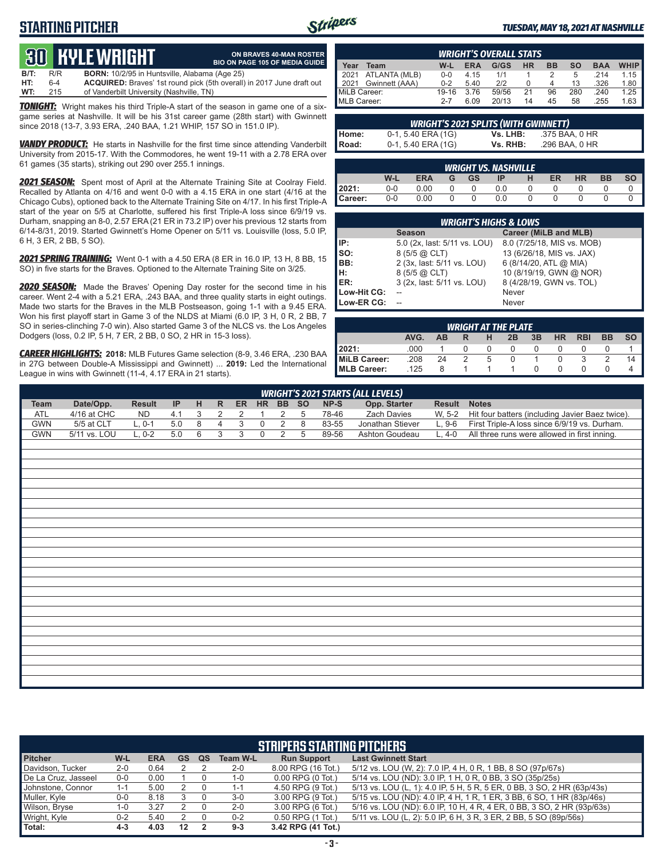# **STARTING PITCHER**



**ON BRAVES 40-MAN ROSTER**

#### *TUESDAY, MAY 18, 2021 AT NASHVILLE*

# **30****KYLE WRIGHT**

|      |     | <u>tus bible white in</u>                            | <b>BIO ON PAGE 105 OF MEDIA GUIDE</b>                                        |
|------|-----|------------------------------------------------------|------------------------------------------------------------------------------|
| B/T: | R/R | <b>BORN:</b> 10/2/95 in Huntsville, Alabama (Age 25) |                                                                              |
| HT:  | 6-4 |                                                      | <b>ACQUIRED:</b> Braves' 1st round pick (5th overall) in 2017 June draft out |
| WT:  | 215 | of Vanderbilt University (Nashville, TN)             |                                                                              |

*TONIGHT:* Wright makes his third Triple-A start of the season in game one of a sixgame series at Nashville. It will be his 31st career game (28th start) with Gwinnett since 2018 (13-7, 3.93 ERA, .240 BAA, 1.21 WHIP, 157 SO in 151.0 IP).

**VANDY PRODUCT:** He starts in Nashville for the first time since attending Vanderbilt University from 2015-17. With the Commodores, he went 19-11 with a 2.78 ERA over 61 games (35 starts), striking out 290 over 255.1 innings.

*2021 SEASON:* Spent most of April at the Alternate Training Site at Coolray Field. Recalled by Atlanta on 4/16 and went 0-0 with a 4.15 ERA in one start (4/16 at the Chicago Cubs), optioned back to the Alternate Training Site on 4/17. In his first Triple-A start of the year on 5/5 at Charlotte, suffered his first Triple-A loss since 6/9/19 vs. Durham, snapping an 8-0, 2.57 ERA (21 ER in 73.2 IP) over his previous 12 starts from 6/14-8/31, 2019. Started Gwinnett's Home Opener on 5/11 vs. Louisville (loss, 5.0 IP, 6 H, 3 ER, 2 BB, 5 SO).

*2021 SPRING TRAINING:* Went 0-1 with a 4.50 ERA (8 ER in 16.0 IP, 13 H, 8 BB, 15 SO) in five starts for the Braves. Optioned to the Alternate Training Site on 3/25.

*2020 SEASON:* Made the Braves' Opening Day roster for the second time in his career. Went 2-4 with a 5.21 ERA, .243 BAA, and three quality starts in eight outings. Made two starts for the Braves in the MLB Postseason, going 1-1 with a 9.45 ERA. Won his first playoff start in Game 3 of the NLDS at Miami (6.0 IP, 3 H, 0 R, 2 BB, 7 SO in series-clinching 7-0 win). Also started Game 3 of the NLCS vs. the Los Angeles Dodgers (loss, 0.2 IP, 5 H, 7 ER, 2 BB, 0 SO, 2 HR in 15-3 loss).

*CAREER HIGHLIGHTS:* **2018:** MLB Futures Game selection (8-9, 3.46 ERA, .230 BAA in 27G between Double-A Mississippi and Gwinnett) ... **2019:** Led the International League in wins with Gwinnett (11-4, 4.17 ERA in 21 starts).

| <b>WRIGHT'S OVERALL STATS</b> |                    |         |            |       |           |           |     |            |             |
|-------------------------------|--------------------|---------|------------|-------|-----------|-----------|-----|------------|-------------|
| Year                          | Team               | W-L     | <b>ERA</b> | G/GS  | <b>HR</b> | <b>BB</b> | so  | <b>BAA</b> | <b>WHIP</b> |
|                               | 2021 ATLANTA (MLB) | $0 - 0$ | 4.15       | 1/1   |           |           | 5   | .214       | 1.15        |
| 12021                         | Gwinnett (AAA)     | $0 - 2$ | 5.40       | 212   |           |           | 13  | .326       | 1.80        |
| MiLB Career:                  |                    | 19-16   | 3.76       | 59/56 | 21        | 96        | 280 | .240       | 1.25        |
| MLB Career:                   |                    | $2 - 7$ | 6.09       | 20/13 | 14        | 45        | 58  | .255       | 1.63        |

| <b>WRIGHT'S 2021 SPLITS (WITH GWINNETT)</b> |                      |          |                |  |  |
|---------------------------------------------|----------------------|----------|----------------|--|--|
|                                             | 0-1, 5.40 ERA (1G)   | Vs. LHB: | .375 BAA. 0 HR |  |  |
| Home:<br>Road:                              | $0-1, 5.40$ ERA (1G) | Vs. RHB: | .296 BAA. 0 HR |  |  |

|         |         |            |   |           | <b>WRIGHT VS. NASHVILLE</b> |    |    |           |    |
|---------|---------|------------|---|-----------|-----------------------------|----|----|-----------|----|
|         | W-L     | <b>ERA</b> | G | <b>GS</b> | ΙP                          | ER | HR | <b>BB</b> | SΟ |
| l 2021: | $0 - 0$ | 0.00       |   |           | 0.0                         |    |    |           |    |
| Career: | $0-0$   | 0.00       |   |           | 0.0                         |    |    |           |    |

|             | <b>WRIGHT'S HIGHS &amp; LOWS</b> |                            |
|-------------|----------------------------------|----------------------------|
|             | <b>Season</b>                    | Career (MiLB and MLB)      |
| IP:         | 5.0 (2x, last: 5/11 vs. LOU)     | 8.0 (7/25/18, MIS vs. MOB) |
| so:         | 8 (5/5 @ CLT)                    | 13 (6/26/18, MIS vs. JAX)  |
| IBB:        | 2 (3x, last: 5/11 vs. LOU)       | 6 (8/14/20, ATL @ MIA)     |
| Iн:         | 8 (5/5 @ CLT)                    | 10 (8/19/19, GWN @ NOR)    |
| ER:         | 3 (2x, last: 5/11 vs. LOU)       | 8 (4/28/19, GWN vs. TOL)   |
| Low-Hit CG: |                                  | Never                      |
| Low-ER CG:  |                                  | Never                      |

|              |      |           |               |          | <b>WRIGHT AT THE PLATE</b> |    |           |            |           |           |
|--------------|------|-----------|---------------|----------|----------------------------|----|-----------|------------|-----------|-----------|
|              | AVG. | <b>AR</b> |               | н        | 2B                         | 3B | <b>HR</b> | <b>RBI</b> | <b>BB</b> | <b>SO</b> |
| 2021:        | .000 |           |               | $\theta$ | O                          |    |           |            |           |           |
| MiLB Career: | .208 | 24        | $\mathcal{P}$ | 5        |                            |    |           |            |           | 14        |
| MLB Career:  | .125 | 8         |               |          |                            |    |           |            |           |           |

|             |              |               |     |                           |                |    |             |                |           |       | <b>WRIGHT'S 2021 STARTS (ALL LEVELS)</b> |               |                                                 |
|-------------|--------------|---------------|-----|---------------------------|----------------|----|-------------|----------------|-----------|-------|------------------------------------------|---------------|-------------------------------------------------|
| <b>Team</b> | Date/Opp.    | <b>Result</b> | IP  | H                         | $\mathsf{R}$   | ER | <b>HR</b>   | <b>BB</b>      | <b>SO</b> | NP-S  | Opp. Starter                             | <b>Result</b> | <b>Notes</b>                                    |
| <b>ATL</b>  | 4/16 at CHC  | <b>ND</b>     | 4.1 | $\ensuremath{\mathsf{3}}$ | 2              | 2  | 1           | $\overline{2}$ | 5         | 78-46 | Zach Davies                              | W, 5-2        | Hit four batters (including Javier Baez twice). |
| <b>GWN</b>  | 5/5 at CLT   | $L, 0-1$      | 5.0 | $\overline{8}$            | $\overline{4}$ | 3  | $\mathbf 0$ | 2              | 8         | 83-55 | Jonathan Stiever                         | $L, 9-6$      | First Triple-A loss since 6/9/19 vs. Durham.    |
| <b>GWN</b>  | 5/11 vs. LOU | $L, 0-2$      | 5.0 | 6                         | 3              | 3  | $\mathbf 0$ | $\overline{2}$ | 5         | 89-56 | Ashton Goudeau                           | $L, 4-0$      | All three runs were allowed in first inning.    |
|             |              |               |     |                           |                |    |             |                |           |       |                                          |               |                                                 |
|             |              |               |     |                           |                |    |             |                |           |       |                                          |               |                                                 |
|             |              |               |     |                           |                |    |             |                |           |       |                                          |               |                                                 |
|             |              |               |     |                           |                |    |             |                |           |       |                                          |               |                                                 |
|             |              |               |     |                           |                |    |             |                |           |       |                                          |               |                                                 |
|             |              |               |     |                           |                |    |             |                |           |       |                                          |               |                                                 |
|             |              |               |     |                           |                |    |             |                |           |       |                                          |               |                                                 |
|             |              |               |     |                           |                |    |             |                |           |       |                                          |               |                                                 |
|             |              |               |     |                           |                |    |             |                |           |       |                                          |               |                                                 |
|             |              |               |     |                           |                |    |             |                |           |       |                                          |               |                                                 |
|             |              |               |     |                           |                |    |             |                |           |       |                                          |               |                                                 |
|             |              |               |     |                           |                |    |             |                |           |       |                                          |               |                                                 |
|             |              |               |     |                           |                |    |             |                |           |       |                                          |               |                                                 |
|             |              |               |     |                           |                |    |             |                |           |       |                                          |               |                                                 |
|             |              |               |     |                           |                |    |             |                |           |       |                                          |               |                                                 |
|             |              |               |     |                           |                |    |             |                |           |       |                                          |               |                                                 |
|             |              |               |     |                           |                |    |             |                |           |       |                                          |               |                                                 |
|             |              |               |     |                           |                |    |             |                |           |       |                                          |               |                                                 |
|             |              |               |     |                           |                |    |             |                |           |       |                                          |               |                                                 |
|             |              |               |     |                           |                |    |             |                |           |       |                                          |               |                                                 |
|             |              |               |     |                           |                |    |             |                |           |       |                                          |               |                                                 |
|             |              |               |     |                           |                |    |             |                |           |       |                                          |               |                                                 |
|             |              |               |     |                           |                |    |             |                |           |       |                                          |               |                                                 |
|             |              |               |     |                           |                |    |             |                |           |       |                                          |               |                                                 |

|                     |         |            |           |    |                 | <b>STRIPERS STARTING PITCHERS</b> |                                                                         |
|---------------------|---------|------------|-----------|----|-----------------|-----------------------------------|-------------------------------------------------------------------------|
| <b>Pitcher</b>      | W-L     | <b>ERA</b> | <b>GS</b> | QS | <b>Team W-L</b> | <b>Run Support</b>                | <b>Last Gwinnett Start</b>                                              |
| Davidson, Tucker    | $2 - 0$ | 0.64       |           |    | $2 - 0$         | 8.00 RPG (16 Tot.)                | 5/12 vs. LOU (W, 2): 7.0 IP, 4 H, 0 R, 1 BB, 8 SO (97p/67s)             |
| De La Cruz, Jasseel | $0-0$   | 0.00       |           |    | 1-0             | $0.00$ RPG $(0$ Tot.)             | 5/14 vs. LOU (ND): 3.0 IP, 1 H, 0 R, 0 BB, 3 SO (35p/25s)               |
| Johnstone, Connor   | $1 - 1$ | 5.00       |           |    | $1 - 1$         | 4.50 RPG (9 Tot.)                 | 5/13 vs. LOU (L, 1): 4.0 IP, 5 H, 5 R, 5 ER, 0 BB, 3 SO, 2 HR (63p/43s) |
| Muller, Kyle        | $0-0$   | 8.18       |           |    | $3-0$           | 3.00 RPG (9 Tot.)                 | 5/15 vs. LOU (ND): 4.0 IP, 4 H, 1 R, 1 ER, 3 BB, 6 SO, 1 HR (83p/46s)   |
| Wilson, Bryse       | 1-0     | 3.27       |           |    | $2 - 0$         | 3.00 RPG (6 Tot.)                 | 5/16 vs. LOU (ND): 6.0 IP, 10 H, 4 R, 4 ER, 0 BB, 3 SO, 2 HR (93p/63s)  |
| Wright, Kyle        | $0 - 2$ | 5.40       |           |    | $0 - 2$         | 0.50 RPG (1 Tot.)                 | 5/11 vs. LOU (L, 2): 5.0 IP, 6 H, 3 R, 3 ER, 2 BB, 5 SO (89p/56s)       |
| Total:              | $4 - 3$ | 4.03       | 12        |    | $9 - 3$         | 3.42 RPG (41 Tot.)                |                                                                         |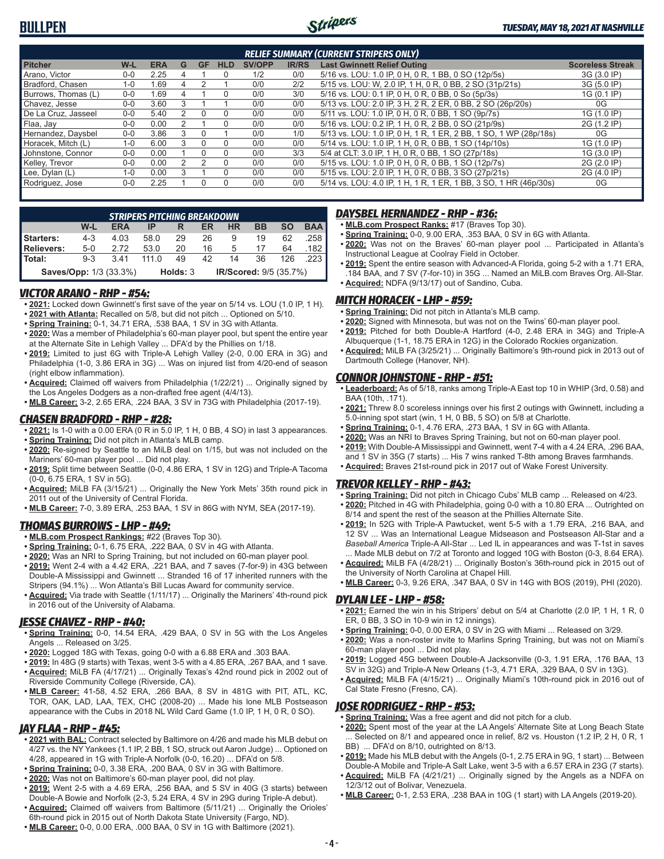

|                     |         |            |   |           |            |               |              | <b>RELIEF SUMMARY (CURRENT STRIPERS ONLY)</b>                    |                         |
|---------------------|---------|------------|---|-----------|------------|---------------|--------------|------------------------------------------------------------------|-------------------------|
| <b>Pitcher</b>      | W-L     | <b>ERA</b> | G | <b>GF</b> | <b>HLD</b> | <b>SV/OPP</b> | <b>IR/RS</b> | <b>Last Gwinnett Relief Outing</b>                               | <b>Scoreless Streak</b> |
| Arano, Victor       | $0 - 0$ | 2.25       |   |           | 0          | 1/2           | 0/0          | 5/16 vs. LOU: 1.0 IP, 0 H, 0 R, 1 BB, 0 SO (12p/5s)              | 3G (3.0 IP)             |
| Bradford, Chasen    | $1 - 0$ | 1.69       |   |           |            | 0/0           | 2/2          | 5/15 vs. LOU: W, 2.0 IP, 1 H, 0 R, 0 BB, 2 SO (31p/21s)          | 3G (5.0 IP)             |
| Burrows. Thomas (L) | $0 - 0$ | 1.69       |   |           | 0          | 0/0           | 3/0          | 5/16 vs. LOU: 0.1 IP, 0 H, 0 R, 0 BB, 0 So (5p/3s)               | 1G (0.1 IP)             |
| Chavez, Jesse       | $0 - 0$ | 3.60       | 3 |           |            | 0/0           | 0/0          | 5/13 vs. LOU: 2.0 IP, 3 H, 2 R, 2 ER, 0 BB, 2 SO (26p/20s)       | 0G                      |
| De La Cruz, Jasseel | $0 - 0$ | 5.40       |   |           | $\Omega$   | 0/0           | 0/0          | 5/11 vs. LOU: 1.0 IP, 0 H, 0 R, 0 BB, 1 SO (9p/7s)               | 1G (1.0 IP)             |
| Flaa, Jay           | $0 - 0$ | 0.00       |   |           | 0          | 0/0           | 0/0          | 5/16 vs. LOU: 0.2 IP, 1 H, 0 R, 2 BB, 0 SO (21p/9s)              | 2G (1.2 IP)             |
| Hernandez, Daysbel  | $0 - 0$ | 3.86       | 3 |           |            | 0/0           | 1/0          | 5/13 vs. LOU: 1.0 IP, 0 H, 1 R, 1 ER, 2 BB, 1 SO, 1 WP (28p/18s) | 0G                      |
| Horacek, Mitch (L)  | $1 - 0$ | 6.00       |   |           | $\Omega$   | 0/0           | 0/0          | 5/14 vs. LOU: 1.0 IP, 1 H, 0 R, 0 BB, 1 SO (14p/10s)             | 1G (1.0 IP)             |
| Johnstone, Connor   | $0 - 0$ | 0.00       |   |           | 0          | 0/0           | 3/3          | 5/4 at CLT: 3.0 IP, 1 H, 0 R, 0 BB, 1 SO (27p/18s)               | 1G (3.0 IP)             |
| Kelley, Trevor      | $0 - 0$ | 0.00       |   |           | $\Omega$   | 0/0           | 0/0          | 5/15 vs. LOU: 1.0 IP, 0 H, 0 R, 0 BB, 1 SO (12p/7s)              | 2G (2.0 IP)             |
| Lee, Dylan (L)      | $1 - 0$ | 0.00       |   |           |            | 0/0           | 0/0          | 5/15 vs. LOU: 2.0 IP, 1 H, 0 R, 0 BB, 3 SO (27p/21s)             | 2G (4.0 IP)             |
| Rodriguez, Jose     | $0-0$   | 2.25       |   |           | 0          | 0/0           | 0/0          | 5/14 vs. LOU: 4.0 IP, 1 H, 1 R, 1 ER, 1 BB, 3 SO, 1 HR (46p/30s) | 0G                      |
|                     |         |            |   |           |            |               |              |                                                                  |                         |

|                               |         | STRIPERS PITCHING BREAKDOWN |              |          |    |                        |    |           |            |
|-------------------------------|---------|-----------------------------|--------------|----------|----|------------------------|----|-----------|------------|
|                               | W-L     | <b>ERA</b>                  | IP           |          | ER | <b>HR</b>              | BB | <b>SO</b> | <b>BAA</b> |
| Starters:                     | $4 - 3$ | 4.03                        | 58.0         | 29       | 26 | 9                      | 19 | 62        | 258        |
| Relievers:                    | $5-0$   | 2.72                        | 53.0         | 20       | 16 | 5                      | 17 | 64        | .182       |
| l Total:                      | $9 - 3$ | 341                         | 111 $\Omega$ | 49       | 42 | 14                     | 36 | 126       |            |
| <b>Saves/Opp: 1/3 (33.3%)</b> |         |                             |              | Holds: 3 |    | IR/Scored: 9/5 (35.7%) |    |           |            |

#### *VICTOR ARANO - RHP - #54:*

- **• 2021:** Locked down Gwinnett's first save of the year on 5/14 vs. LOU (1.0 IP, 1 H). **• 2021 with Atlanta:** Recalled on 5/8, but did not pitch ... Optioned on 5/10.
- **• Spring Training:** 0-1, 34.71 ERA, .538 BAA, 1 SV in 3G with Atlanta.
- **• 2020:** Was a member of Philadelphia's 60-man player pool, but spent the entire year at the Alternate Site in Lehigh Valley ... DFA'd by the Phillies on 1/18.
- **• 2019:** Limited to just 6G with Triple-A Lehigh Valley (2-0, 0.00 ERA in 3G) and Philadelphia (1-0, 3.86 ERA in 3G) ... Was on injured list from 4/20-end of season (right elbow inflammation).
- **• Acquired:** Claimed off waivers from Philadelphia (1/22/21) ... Originally signed by the Los Angeles Dodgers as a non-drafted free agent (4/4/13).
- **• MLB Career:** 3-2, 2.65 ERA, .224 BAA, 3 SV in 73G with Philadelphia (2017-19).

#### *CHASEN BRADFORD - RHP - #28:*

- **• 2021:** Is 1-0 with a 0.00 ERA (0 R in 5.0 IP, 1 H, 0 BB, 4 SO) in last 3 appearances.
- **• Spring Training:** Did not pitch in Atlanta's MLB camp.
- **• 2020:** Re-signed by Seattle to an MiLB deal on 1/15, but was not included on the Mariners' 60-man player pool ... Did not play.
- **• 2019:** Split time between Seattle (0-0, 4.86 ERA, 1 SV in 12G) and Triple-A Tacoma (0-0, 6.75 ERA, 1 SV in 5G).
- **• Acquired:** MiLB FA (3/15/21) ... Originally the New York Mets' 35th round pick in 2011 out of the University of Central Florida.
- **• MLB Career:** 7-0, 3.89 ERA, .253 BAA, 1 SV in 86G with NYM, SEA (2017-19).

#### *THOMAS BURROWS - LHP - #49:*

- **• MLB.com Prospect Rankings:** #22 (Braves Top 30).
- **• Spring Training:** 0-1, 6.75 ERA, .222 BAA, 0 SV in 4G with Atlanta.
- **• 2020:** Was an NRI to Spring Training, but not included on 60-man player pool.
- **• 2019:** Went 2-4 with a 4.42 ERA, .221 BAA, and 7 saves (7-for-9) in 43G between Double-A Mississippi and Gwinnett ... Stranded 16 of 17 inherited runners with the Stripers (94.1%) ... Won Atlanta's Bill Lucas Award for community service.
- **• Acquired:** Via trade with Seattle (1/11/17) ... Originally the Mariners' 4th-round pick in 2016 out of the University of Alabama.

#### *JESSE CHAVEZ - RHP - #40:*

- **• Spring Training:** 0-0, 14.54 ERA, .429 BAA, 0 SV in 5G with the Los Angeles Angels ... Released on 3/25.
- **• 2020:** Logged 18G with Texas, going 0-0 with a 6.88 ERA and .303 BAA.
- **• 2019:** In 48G (9 starts) with Texas, went 3-5 with a 4.85 ERA, .267 BAA, and 1 save.
- **• Acquired:** MiLB FA (4/17/21) ... Originally Texas's 42nd round pick in 2002 out of Riverside Community College (Riverside, CA).
- **• MLB Career:** 41-58, 4.52 ERA, .266 BAA, 8 SV in 481G with PIT, ATL, KC, TOR, OAK, LAD, LAA, TEX, CHC (2008-20) ... Made his lone MLB Postseason appearance with the Cubs in 2018 NL Wild Card Game (1.0 IP, 1 H, 0 R, 0 SO).

#### *JAY FLAA - RHP - #45:*

- **• 2021 with BAL:** Contract selected by Baltimore on 4/26 and made his MLB debut on 4/27 vs. the NY Yankees (1.1 IP, 2 BB, 1 SO, struck out Aaron Judge) ... Optioned on 4/28, appeared in 1G with Triple-A Norfolk (0-0, 16.20) ... DFA'd on 5/8.
- **• Spring Training:** 0-0, 3.38 ERA, .200 BAA, 0 SV in 3G with Baltimore.
- **• 2020:** Was not on Baltimore's 60-man player pool, did not play.
- **• 2019:** Went 2-5 with a 4.69 ERA, .256 BAA, and 5 SV in 40G (3 starts) between Double-A Bowie and Norfolk (2-3, 5.24 ERA, 4 SV in 29G during Triple-A debut).
- **• Acquired:** Claimed off waivers from Baltimore (5/11/21) ... Originally the Orioles' 6th-round pick in 2015 out of North Dakota State University (Fargo, ND).
- **• MLB Career:** 0-0, 0.00 ERA, .000 BAA, 0 SV in 1G with Baltimore (2021).

#### *DAYSBEL HERNANDEZ - RHP - #36:*

- **• MLB.com Prospect Ranks:** #17 (Braves Top 30).
- **• Spring Training:** 0-0, 9.00 ERA, .353 BAA, 0 SV in 6G with Atlanta.
- **• 2020:** Was not on the Braves' 60-man player pool ... Participated in Atlanta's Instructional League at Coolray Field in October.
- **• 2019:** Spent the entire season with Advanced-A Florida, going 5-2 with a 1.71 ERA, .184 BAA, and 7 SV (7-for-10) in 35G ... Named an MiLB.com Braves Org. All-Star. **• Acquired:** NDFA (9/13/17) out of Sandino, Cuba.

#### *MITCH HORACEK - LHP - #59:*

- **• Spring Training:** Did not pitch in Atlanta's MLB camp.
- **• 2020:** Signed with Minnesota, but was not on the Twins' 60-man player pool.
- **• 2019:** Pitched for both Double-A Hartford (4-0, 2.48 ERA in 34G) and Triple-A
- Albuquerque (1-1, 18.75 ERA in 12G) in the Colorado Rockies organization. **• Acquired:** MiLB FA (3/25/21) ... Originally Baltimore's 9th-round pick in 2013 out of Dartmouth College (Hanover, NH).

#### *CONNOR JOHNSTONE - RHP - #51:*

- **• Leaderboard:** As of 5/18, ranks among Triple-A East top 10 in WHIP (3rd, 0.58) and BAA (10th, .171).
- **• 2021:** Threw 8.0 scoreless innings over his first 2 outings with Gwinnett, including a 5.0-inning spot start (win, 1 H, 0 BB, 5 SO) on 5/8 at Charlotte.
- **• Spring Training:** 0-1, 4.76 ERA, .273 BAA, 1 SV in 6G with Atlanta.
- **• 2020:** Was an NRI to Braves Spring Training, but not on 60-man player pool. **• 2019:** With Double-A Mississippi and Gwinnett, went 7-4 with a 4.24 ERA, .296 BAA,
- and 1 SV in 35G (7 starts) ... His 7 wins ranked T-8th among Braves farmhands. **• Acquired:** Braves 21st-round pick in 2017 out of Wake Forest University.

#### *TREVOR KELLEY - RHP - #43:*

- **• Spring Training:** Did not pitch in Chicago Cubs' MLB camp ... Released on 4/23.
- **• 2020:** Pitched in 4G with Philadelphia, going 0-0 with a 10.80 ERA ... Outrighted on 8/14 and spent the rest of the season at the Phillies Alternate Site.
- **• 2019:** In 52G with Triple-A Pawtucket, went 5-5 with a 1.79 ERA, .216 BAA, and 12 SV ... Was an International League Midseason and Postseason All-Star and a *Baseball America* Triple-A All-Star ... Led IL in appearances and was T-1st in saves Made MLB debut on 7/2 at Toronto and logged 10G with Boston (0-3, 8.64 ERA).
- **• Acquired:** MiLB FA (4/28/21) ... Originally Boston's 36th-round pick in 2015 out of the University of North Carolina at Chapel Hill.
- **• MLB Career:** 0-3, 9.26 ERA, .347 BAA, 0 SV in 14G with BOS (2019), PHI (2020).

#### *DYLAN LEE - LHP - #58:*

- **• 2021:** Earned the win in his Stripers' debut on 5/4 at Charlotte (2.0 IP, 1 H, 1 R, 0 ER, 0 BB, 3 SO in 10-9 win in 12 innings).
- **• Spring Training:** 0-0, 0.00 ERA, 0 SV in 2G with Miami ... Released on 3/29.
- **• 2020:** Was a non-roster invite to Marlins Spring Training, but was not on Miami's 60-man player pool ... Did not play.
- **• 2019:** Logged 45G between Double-A Jacksonville (0-3, 1.91 ERA, .176 BAA, 13 SV in 32G) and Triple-A New Orleans (1-3, 4.71 ERA, .329 BAA, 0 SV in 13G).
- **• Acquired:** MiLB FA (4/15/21) ... Originally Miami's 10th-round pick in 2016 out of Cal State Fresno (Fresno, CA).

#### *JOSE RODRIGUEZ - RHP - #53:*

- **• Spring Training:** Was a free agent and did not pitch for a club.
- **• 2020:** Spent most of the year at the LA Angels' Alternate Site at Long Beach State Selected on 8/1 and appeared once in relief, 8/2 vs. Houston (1.2 IP, 2 H, 0 R, 1 BB) ... DFA'd on 8/10, outrighted on 8/13.
- **• 2019:** Made his MLB debut with the Angels (0-1, 2.75 ERA in 9G, 1 start) ... Between Double-A Mobile and Triple-A Salt Lake, went 3-5 with a 6.57 ERA in 23G (7 starts).
- **• Acquired:** MiLB FA (4/21/21) ... Originally signed by the Angels as a NDFA on 12/3/12 out of Bolivar, Venezuela.
- **• MLB Career:** 0-1, 2.53 ERA, .238 BAA in 10G (1 start) with LA Angels (2019-20).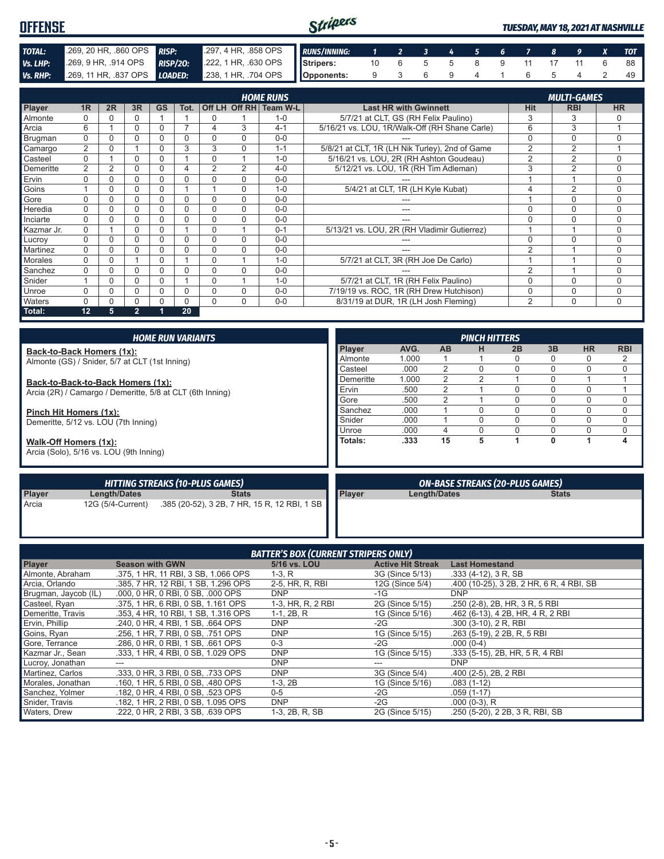| <b>OFFENSE</b> |                                                                                        |  | Stripers |                                  |  |  |  |  | <b>TUESDAY, MAY 18, 2021 AT NASHVILLE</b> |
|----------------|----------------------------------------------------------------------------------------|--|----------|----------------------------------|--|--|--|--|-------------------------------------------|
| TOTAL:         | 269, 20 HR, 860 OPS RISP: 297, 4 HR, 858 OPS RUNS/INNING: 1 2 3 4 5 6 7 8 9 X TOT      |  |          |                                  |  |  |  |  |                                           |
| Vs. LHP:       | 269, 9 HR, 914 OPS RISP/20: 222, 1 HR, 630 OPS Stripers:                               |  |          | 10  6  5  5  8  9  11  17  11  6 |  |  |  |  |                                           |
|                | Vs. RHP: 269, 11 HR, 837 OPS LOADED: 238, 1 HR, 704 OPS   Opponents: 9 3 6 9 4 1 6 5 4 |  |          |                                  |  |  |  |  |                                           |

|            |                |          |                |           |      |          |                | <b>HOME RUNS</b>       |                                                |                | <b>MULTI-GAMES</b> |             |
|------------|----------------|----------|----------------|-----------|------|----------|----------------|------------------------|------------------------------------------------|----------------|--------------------|-------------|
| Player     | 1R             | 2R       | 3R             | <b>GS</b> | Tot. |          |                | Off LH Off RH Team W-L | <b>Last HR with Gwinnett</b>                   | <b>Hit</b>     | <b>RBI</b>         | <b>HR</b>   |
| Almonte    |                |          |                |           |      | $\Omega$ |                | $1 - 0$                | 5/7/21 at CLT, GS (RH Felix Paulino)           | 3              | 3                  |             |
| Arcia      | 6              |          | 0              | 0         |      | 4        | 3              | $4 - 1$                | 5/16/21 vs. LOU, 1R/Walk-Off (RH Shane Carle)  | 6              | 3                  |             |
| Brugman    | 0              |          |                |           |      | 0        | 0              | $0 - 0$                |                                                | 0              | $\Omega$           | $\Omega$    |
| Camargo    | $\overline{2}$ |          |                | O         | 3    | 3        | $\Omega$       | $1 - 1$                | 5/8/21 at CLT, 1R (LH Nik Turley), 2nd of Game | $\overline{2}$ | $\overline{2}$     |             |
| Casteel    | $\Omega$       |          | $\Omega$       | O         |      | $\Omega$ |                | $1 - 0$                | 5/16/21 vs. LOU, 2R (RH Ashton Goudeau)        | $\overline{2}$ | $\overline{2}$     | $\Omega$    |
| Demeritte  | 2              | 2        |                | O         |      | 2        | $\overline{2}$ | $4 - 0$                | 5/12/21 vs. LOU, 1R (RH Tim Adleman)           | 3              | 2                  | $\Omega$    |
| Ervin      | $\Omega$       |          | 0              |           |      | $\Omega$ | 0              | $0 - 0$                |                                                |                |                    | $\Omega$    |
| Goins      |                |          |                |           |      |          | $\Omega$       | $1 - 0$                | 5/4/21 at CLT, 1R (LH Kyle Kubat)              |                | $\overline{2}$     | $\mathbf 0$ |
| Gore       | $\Omega$       |          | 0              | O         | 0    | $\Omega$ | $\Omega$       | $0 - 0$                |                                                |                | $\Omega$           | $\Omega$    |
| Heredia    | 0              |          |                |           |      | $\Omega$ | $\Omega$       | $0 - 0$                | ---                                            | 0              | $\mathbf 0$        | $\Omega$    |
| Inciarte   | $\Omega$       |          |                | O         | 0    | $\Omega$ | 0              | $0 - 0$                |                                                | 0              | $\Omega$           | $\Omega$    |
| Kazmar Jr. | $\Omega$       |          | 0              |           |      | $\Omega$ |                | $0 - 1$                | 5/13/21 vs. LOU, 2R (RH Vladimir Gutierrez)    |                |                    | $\Omega$    |
| Lucroy     | 0              | $\Omega$ | $\Omega$       | 0         | 0    | $\Omega$ | $\Omega$       | $0 - 0$                |                                                | 0              | $\Omega$           | $\Omega$    |
| Martinez   | $\Omega$       |          | O              |           |      | $\Omega$ | $\Omega$       | $0 - 0$                |                                                | $\mathfrak{p}$ |                    | $\Omega$    |
| Morales    | 0              | $\Omega$ |                | 0         |      | $\Omega$ | -4             | $1 - 0$                | 5/7/21 at CLT, 3R (RH Joe De Carlo)            |                |                    | $\Omega$    |
| Sanchez    | $\Omega$       |          |                |           |      | $\Omega$ | 0              | $0 - 0$                |                                                | $\overline{2}$ |                    | $\Omega$    |
| Snider     |                | $\Omega$ | 0              | 0         |      | $\Omega$ | -4             | $1 - 0$                | 5/7/21 at CLT, 1R (RH Felix Paulino)           | 0              | $\Omega$           | $\Omega$    |
| Unroe      | 0              |          | $\Omega$       | 0         | 0    | $\Omega$ | 0              | $0 - 0$                | 7/19/19 vs. ROC, 1R (RH Drew Hutchison)        | 0              | $\mathbf 0$        | $\Omega$    |
| Waters     | U              |          |                |           | 0    | $\Omega$ | $\Omega$       | $0 - 0$                | 8/31/19 at DUR, 1R (LH Josh Fleming)           | $\overline{2}$ | $\Omega$           | $\Omega$    |
| Total:     | 12             | 5        | $\overline{2}$ |           | 20   |          |                |                        |                                                |                |                    |             |

|                           |                                                | <b>HOME RUN VARIANTS</b>                                  | <b>PINCH HITTERS</b> |       |                     |          |                                        |              |             |            |  |  |
|---------------------------|------------------------------------------------|-----------------------------------------------------------|----------------------|-------|---------------------|----------|----------------------------------------|--------------|-------------|------------|--|--|
| Back-to-Back Homers (1x): |                                                |                                                           | Player               | AVG.  | <b>AB</b>           | н        | 2B                                     | 3B           | <b>HR</b>   | <b>RBI</b> |  |  |
|                           | Almonte (GS) / Snider, 5/7 at CLT (1st Inning) |                                                           | Almonte              | 1.000 |                     |          | O                                      | 0            | $\Omega$    | 2          |  |  |
|                           |                                                |                                                           | Casteel              | .000  | 2                   | 0        | U                                      | 0            | $\Omega$    | 0          |  |  |
|                           | Back-to-Back-to-Back Homers (1x):              |                                                           | Demeritte            | 1.000 | 2                   | 2        |                                        |              |             |            |  |  |
|                           |                                                | Arcia (2R) / Camargo / Demeritte, 5/8 at CLT (6th Inning) | Ervin                | .500  | 2                   |          | U                                      | 0            | $\Omega$    |            |  |  |
|                           |                                                |                                                           | Gore                 | .500  | 2                   |          | $\Omega$                               | 0            | $\Omega$    | 0          |  |  |
| Pinch Hit Homers (1x):    |                                                |                                                           | Sanchez              | .000  |                     | $\Omega$ | $\Omega$                               | $\Omega$     | $\Omega$    | 0          |  |  |
|                           | Demeritte, 5/12 vs. LOU (7th Inning)           |                                                           | Snider               | .000  |                     | 0        | $\Omega$                               | 0            | $\Omega$    | 0          |  |  |
|                           |                                                |                                                           | Unroe                | .000  | 4                   | 0        | $\Omega$                               | 0            | $\mathbf 0$ | 0          |  |  |
| Walk-Off Homers (1x):     |                                                |                                                           | Totals:              | .333  | 15                  | 5        |                                        | 0            |             | 4          |  |  |
|                           | Arcia (Solo), 5/16 vs. LOU (9th Inning)        |                                                           |                      |       |                     |          |                                        |              |             |            |  |  |
|                           |                                                |                                                           |                      |       |                     |          |                                        |              |             |            |  |  |
|                           |                                                |                                                           |                      |       |                     |          |                                        |              |             |            |  |  |
|                           |                                                | <b>HITTING STREAKS (10-PLUS GAMES)</b>                    |                      |       |                     |          | <b>ON-BASE STREAKS (20-PLUS GAMES)</b> |              |             |            |  |  |
| <b>Player</b>             | Length/Dates                                   | <b>Stats</b>                                              | <b>Player</b>        |       | <b>Length/Dates</b> |          |                                        | <b>Stats</b> |             |            |  |  |
| Arcia                     | 12G (5/4-Current)                              | .385 (20-52), 3 2B, 7 HR, 15 R, 12 RBI, 1 SB              |                      |       |                     |          |                                        |              |             |            |  |  |
|                           |                                                |                                                           |                      |       |                     |          |                                        |              |             |            |  |  |
|                           |                                                |                                                           |                      |       |                     |          |                                        |              |             |            |  |  |

|                      |                                     | <b>BATTER'S BOX (CURRENT STRIPERS ONLY)</b> |                          |                                          |
|----------------------|-------------------------------------|---------------------------------------------|--------------------------|------------------------------------------|
| <b>Player</b>        | <b>Season with GWN</b>              | 5/16 vs. LOU                                | <b>Active Hit Streak</b> | <b>Last Homestand</b>                    |
| Almonte, Abraham     | .375. 1 HR. 11 RBI. 3 SB. 1.066 OPS | $1-3. R$                                    | 3G (Since 5/13)          | $.333(4-12)$ , 3 R, SB                   |
| Arcia, Orlando       | .385, 7 HR, 12 RBI, 1 SB, 1,296 OPS | 2-5, HR, R, RBI                             | 12G (Since 5/4)          | .400 (10-25), 3 2B, 2 HR, 6 R, 4 RBI, SB |
| Brugman, Jaycob (IL) | .000, 0 HR, 0 RBI, 0 SB, .000 OPS   | <b>DNP</b>                                  | $-1G$                    | <b>DNP</b>                               |
| Casteel, Ryan        | .375, 1 HR, 6 RBI, 0 SB, 1.161 OPS  | 1-3, HR, R, 2 RBI                           | 2G (Since 5/15)          | .250 (2-8), 2B, HR, 3 R, 5 RBI           |
| Demeritte, Travis    | .353, 4 HR, 10 RBI, 1 SB, 1.316 OPS | $1-1, 2B, R$                                | 1G (Since 5/16)          | .462 (6-13), 4 2B, HR, 4 R, 2 RBI        |
| Ervin, Phillip       | .240, 0 HR, 4 RBI, 1 SB, .664 OPS   | <b>DNP</b>                                  | $-2G$                    | $.300$ (3-10), 2 R, RBI                  |
| Goins, Ryan          | .256. 1 HR. 7 RBI. 0 SB. .751 OPS   | <b>DNP</b>                                  | 1G (Since 5/15)          | .263 (5-19), 2 2B, R, 5 RBI              |
| Gore, Terrance       | .286, 0 HR, 0 RBI, 1 SB, .661 OPS   | $0 - 3$                                     | $-2G$                    | $.000(0-4)$                              |
| Kazmar Jr., Sean     | .333. 1 HR. 4 RBI. 0 SB. 1.029 OPS  | <b>DNP</b>                                  | 1G (Since 5/15)          | .333 (5-15), 2B, HR, 5 R, 4 RBI          |
| Lucroy, Jonathan     | ---                                 | <b>DNP</b>                                  |                          | <b>DNP</b>                               |
| Martinez, Carlos     | .333, 0 HR, 3 RBI, 0 SB, .733 OPS   | <b>DNP</b>                                  | 3G (Since 5/4)           | $.400$ (2-5), 2B, 2 RBI                  |
| Morales, Jonathan    | .160, 1 HR, 5 RBI, 0 SB, .480 OPS   | $1-3, 2B$                                   | 1G (Since 5/16)          | $.083(1-12)$                             |
| Sanchez, Yolmer      | .182, 0 HR, 4 RBI, 0 SB, .523 OPS   | $0 - 5$                                     | $-2G$                    | $.059(1-17)$                             |
| Snider, Travis       | .182, 1 HR, 2 RBI, 0 SB, 1.095 OPS  | <b>DNP</b>                                  | $-2G$                    | $.000(0-3)$ , R                          |
| Waters, Drew         | .222. 0 HR. 2 RBI. 3 SB. .639 OPS   | 1-3, 2B, R, SB                              | 2G (Since 5/15)          | .250 (5-20), 2 2B, 3 R, RBI, SB          |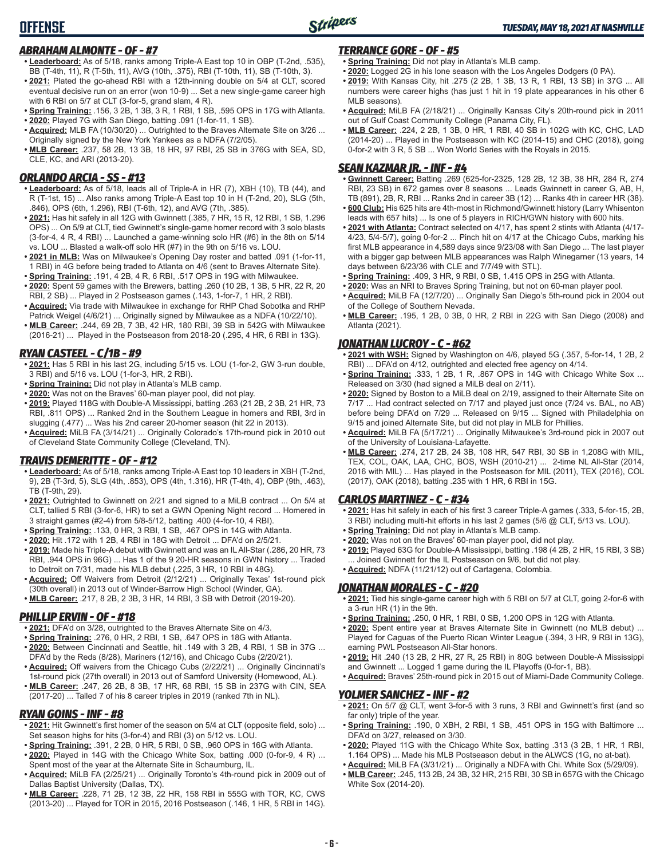#### *ABRAHAM ALMONTE - OF - #7*

- **• Leaderboard:** As of 5/18, ranks among Triple-A East top 10 in OBP (T-2nd, .535), BB (T-4th, 11), R (T-5th, 11), AVG (10th, .375), RBI (T-10th, 11), SB (T-10th, 3).
- **• 2021:** Plated the go-ahead RBI with a 12th-inning double on 5/4 at CLT, scored eventual decisive run on an error (won 10-9) ... Set a new single-game career high with 6 RBI on 5/7 at CLT (3-for-5, grand slam, 4 R).
- **• Spring Training:** .156, 3 2B, 1 3B, 3 R, 1 RBI, 1 SB, .595 OPS in 17G with Atlanta.
- **• 2020:** Played 7G with San Diego, batting .091 (1-for-11, 1 SB). **• Acquired:** MLB FA (10/30/20) ... Outrighted to the Braves Alternate Site on 3/26 ...
- Originally signed by the New York Yankees as a NDFA (7/2/05). **• MLB Career:** .237, 58 2B, 13 3B, 18 HR, 97 RBI, 25 SB in 376G with SEA, SD,
- CLE, KC, and ARI (2013-20).

#### *ORLANDO ARCIA - SS - #13*

- **• Leaderboard:** As of 5/18, leads all of Triple-A in HR (7), XBH (10), TB (44), and R (T-1st, 15) ... Also ranks among Triple-A East top 10 in H (T-2nd, 20), SLG (5th, .846), OPS (6th, 1.296), RBI (T-6th, 12), and AVG (7th, .385).
- **• 2021:** Has hit safely in all 12G with Gwinnett (.385, 7 HR, 15 R, 12 RBI, 1 SB, 1.296 OPS) ... On 5/9 at CLT, tied Gwinnett's single-game homer record with 3 solo blasts (3-for-4, 4 R, 4 RBI) ... Launched a game-winning solo HR (#6) in the 8th on 5/14 vs. LOU ... Blasted a walk-off solo HR (#7) in the 9th on 5/16 vs. LOU.
- **• 2021 in MLB:** Was on Milwaukee's Opening Day roster and batted .091 (1-for-11, 1 RBI) in 4G before being traded to Atlanta on 4/6 (sent to Braves Alternate Site).
- **• Spring Training:** .191, 4 2B, 4 R, 6 RBI, .517 OPS in 19G with Milwaukee. **• 2020:** Spent 59 games with the Brewers, batting .260 (10 2B, 1 3B, 5 HR, 22 R, 20 RBI, 2 SB) ... Played in 2 Postseason games (.143, 1-for-7, 1 HR, 2 RBI).
- **• Acquired:** Via trade with Milwaukee in exchange for RHP Chad Sobotka and RHP Patrick Weigel (4/6/21) ... Originally signed by Milwaukee as a NDFA (10/22/10).
- **• MLB Career:** .244, 69 2B, 7 3B, 42 HR, 180 RBI, 39 SB in 542G with Milwaukee (2016-21) ... Played in the Postseason from 2018-20 (.295, 4 HR, 6 RBI in 13G).

#### *RYAN CASTEEL - C/1B - #9*

- **• 2021:** Has 5 RBI in his last 2G, including 5/15 vs. LOU (1-for-2, GW 3-run double, 3 RBI) and 5/16 vs. LOU (1-for-3, HR, 2 RBI).
- **• Spring Training:** Did not play in Atlanta's MLB camp.
- **• 2020:** Was not on the Braves' 60-man player pool, did not play.
- **• 2019:** Played 118G with Double-A Mississippi, batting .263 (21 2B, 2 3B, 21 HR, 73 RBI, .811 OPS) ... Ranked 2nd in the Southern League in homers and RBI, 3rd in slugging (.477) ... Was his 2nd career 20-homer season (hit 22 in 2013).
- **• Acquired:** MiLB FA (3/14/21) ... Originally Colorado's 17th-round pick in 2010 out of Cleveland State Community College (Cleveland, TN).

#### *TRAVIS DEMERITTE - OF - #12*

- **• Leaderboard:** As of 5/18, ranks among Triple-A East top 10 leaders in XBH (T-2nd, 9), 2B (T-3rd, 5), SLG (4th, .853), OPS (4th, 1.316), HR (T-4th, 4), OBP (9th, .463), TB (T-9th, 29).
- **• 2021:** Outrighted to Gwinnett on 2/21 and signed to a MiLB contract ... On 5/4 at CLT, tallied 5 RBI (3-for-6, HR) to set a GWN Opening Night record ... Homered in 3 straight games (#2-4) from 5/8-5/12, batting .400 (4-for-10, 4 RBI).
- **• Spring Training:** .133, 0 HR, 3 RBI, 1 SB, .467 OPS in 14G with Atlanta.
- **• 2020:** Hit .172 with 1 2B, 4 RBI in 18G with Detroit ... DFA'd on 2/5/21.
- **• 2019:** Made his Triple-A debut with Gwinnett and was an IL All-Star (.286, 20 HR, 73 RBI, .944 OPS in 96G) ... Has 1 of the 9 20-HR seasons in GWN history ... Traded to Detroit on 7/31, made his MLB debut (.225, 3 HR, 10 RBI in 48G).
- **• Acquired:** Off Waivers from Detroit (2/12/21) ... Originally Texas' 1st-round pick (30th overall) in 2013 out of Winder-Barrow High School (Winder, GA).
- **• MLB Career:** .217, 8 2B, 2 3B, 3 HR, 14 RBI, 3 SB with Detroit (2019-20).

#### *PHILLIP ERVIN - OF - #18*

- **• 2021:** DFA'd on 3/28, outrighted to the Braves Alternate Site on 4/3.
- **• Spring Training:** .276, 0 HR, 2 RBI, 1 SB, .647 OPS in 18G with Atlanta. **• 2020:** Between Cincinnati and Seattle, hit .149 with 3 2B, 4 RBI, 1 SB in 37G ...
- DFA'd by the Reds (8/28), Mariners (12/16), and Chicago Cubs (2/20/21). **• Acquired:** Off waivers from the Chicago Cubs (2/22/21) ... Originally Cincinnati's 1st-round pick (27th overall) in 2013 out of Samford University (Homewood, AL).
- **• MLB Career:** .247, 26 2B, 8 3B, 17 HR, 68 RBI, 15 SB in 237G with CIN, SEA (2017-20) ... Talled 7 of his 8 career triples in 2019 (ranked 7th in NL).

#### *RYAN GOINS - INF - #8*

- **• 2021:** Hit Gwinnett's first homer of the season on 5/4 at CLT (opposite field, solo) ... Set season highs for hits (3-for-4) and RBI (3) on 5/12 vs. LOU.
- **• Spring Training:** .391, 2 2B, 0 HR, 5 RBI, 0 SB, .960 OPS in 16G with Atlanta.
- **• 2020:** Played in 14G with the Chicago White Sox, batting .000 (0-for-9, 4 R) ... Spent most of the year at the Alternate Site in Schaumburg, IL.
- **• Acquired:** MiLB FA (2/25/21) ... Originally Toronto's 4th-round pick in 2009 out of Dallas Baptist University (Dallas, TX).
- **• MLB Career:** .228, 71 2B, 12 3B, 22 HR, 158 RBI in 555G with TOR, KC, CWS (2013-20) ... Played for TOR in 2015, 2016 Postseason (.146, 1 HR, 5 RBI in 14G).

#### *TERRANCE GORE - OF - #5*

- **• Spring Training:** Did not play in Atlanta's MLB camp.
- **• 2020:** Logged 2G in his lone season with the Los Angeles Dodgers (0 PA).
- **• 2019:** With Kansas City, hit .275 (2 2B, 1 3B, 13 R, 1 RBI, 13 SB) in 37G ... All numbers were career highs (has just 1 hit in 19 plate appearances in his other 6 MLB seasons).
- **• Acquired:** MiLB FA (2/18/21) ... Originally Kansas City's 20th-round pick in 2011 out of Gulf Coast Community College (Panama City, FL).
- **• MLB Career:** .224, 2 2B, 1 3B, 0 HR, 1 RBI, 40 SB in 102G with KC, CHC, LAD (2014-20) ... Played in the Postseason with KC (2014-15) and CHC (2018), going 0-for-2 with 3 R, 5 SB ... Won World Series with the Royals in 2015.

#### *SEAN KAZMAR JR. - INF - #4*

- **• Gwinnett Career:** Batting .269 (625-for-2325, 128 2B, 12 3B, 38 HR, 284 R, 274 RBI, 23 SB) in 672 games over 8 seasons ... Leads Gwinnett in career G, AB, H, TB (891), 2B, R, RBI ... Ranks 2nd in career 3B (12) ... Ranks 4th in career HR (38).
- **• 600 Club:** His 625 hits are 4th-most in Richmond/Gwinnett history (Larry Whisenton leads with 657 hits) ... Is one of 5 players in RICH/GWN history with 600 hits.
- **• 2021 with Atlanta:** Contract selected on 4/17, has spent 2 stints with Atlanta (4/17- 4/23, 5/4-5/7), going 0-for-2 ... Pinch hit on 4/17 at the Chicago Cubs, marking his first MLB appearance in 4,589 days since 9/23/08 with San Diego ... The last player with a bigger gap between MLB appearances was Ralph Winegarner (13 years, 14 days between 6/23/36 with CLE and 7/7/49 with STL).
- **• Spring Training:** .409, 3 HR, 9 RBI, 0 SB, 1.415 OPS in 25G with Atlanta.
- **• 2020:** Was an NRI to Braves Spring Training, but not on 60-man player pool.
- **• Acquired:** MiLB FA (12/7/20) ... Originally San Diego's 5th-round pick in 2004 out
- of the College of Southern Nevada. **• MLB Career:** .195, 1 2B, 0 3B, 0 HR, 2 RBI in 22G with San Diego (2008) and Atlanta (2021).

#### *JONATHAN LUCROY - C - #62*

- **• 2021 with WSH:** Signed by Washington on 4/6, played 5G (.357, 5-for-14, 1 2B, 2 RBI) ... DFA'd on 4/12, outrighted and elected free agency on 4/14.
- **• Spring Training:** .333, 1 2B, 1 R, .867 OPS in 14G with Chicago White Sox ... Released on 3/30 (had signed a MiLB deal on 2/11).
- **• 2020:** Signed by Boston to a MiLB deal on 2/19, assigned to their Alternate Site on 7/17 ... Had contract selected on 7/17 and played just once (7/24 vs. BAL, no AB) before being DFA'd on 7/29 ... Released on 9/15 ... Signed with Philadelphia on 9/15 and joined Alternate Site, but did not play in MLB for Phillies.
- **• Acquired:** MiLB FA (5/17/21) ... Originally Milwaukee's 3rd-round pick in 2007 out of the University of Louisiana-Lafayette.
- **• MLB Career:** .274, 217 2B, 24 3B, 108 HR, 547 RBI, 30 SB in 1,208G with MIL, TEX, COL, OAK, LAA, CHC, BOS, WSH (2010-21) ... 2-time NL All-Star (2014, 2016 with MIL) ... Has played in the Postseason for MIL (2011), TEX (2016), COL (2017), OAK (2018), batting .235 with 1 HR, 6 RBI in 15G.

#### *CARLOS MARTINEZ - C - #34*

- **• 2021:** Has hit safely in each of his first 3 career Triple-A games (.333, 5-for-15, 2B, 3 RBI) including multi-hit efforts in his last 2 games (5/6 @ CLT, 5/13 vs. LOU).
- **• Spring Training:** Did not play in Atlanta's MLB camp.
- **• 2020:** Was not on the Braves' 60-man player pool, did not play.
- **• 2019:** Played 63G for Double-A Mississippi, batting .198 (4 2B, 2 HR, 15 RBI, 3 SB) . Joined Gwinnett for the IL Postseason on 9/6, but did not play. **• Acquired:** NDFA (11/21/12) out of Cartagena, Colombia.

#### *JONATHAN MORALES - C - #20*

- **• 2021:** Tied his single-game career high with 5 RBI on 5/7 at CLT, going 2-for-6 with a 3-run HR (1) in the 9th.
- **• Spring Training:** .250, 0 HR, 1 RBI, 0 SB, 1.200 OPS in 12G with Atlanta.
- **• 2020:** Spent entire year at Braves Alternate Site in Gwinnett (no MLB debut) ... Played for Caguas of the Puerto Rican Winter League (.394, 3 HR, 9 RBI in 13G), earning PWL Postseason All-Star honors.
- **• 2019:** Hit .240 (13 2B, 2 HR, 27 R, 25 RBI) in 80G between Double-A Mississippi and Gwinnett ... Logged 1 game during the IL Playoffs (0-for-1, BB).
- **• Acquired:** Braves' 25th-round pick in 2015 out of Miami-Dade Community College.

#### *YOLMER SANCHEZ - INF - #2*

- **• 2021:** On 5/7 @ CLT, went 3-for-5 with 3 runs, 3 RBI and Gwinnett's first (and so far only) triple of the year.
- **• Spring Training:** .190, 0 XBH, 2 RBI, 1 SB, .451 OPS in 15G with Baltimore ... DFA'd on 3/27, released on 3/30.
- **• 2020:** Played 11G with the Chicago White Sox, batting .313 (3 2B, 1 HR, 1 RBI, 1.164 OPS) ... Made his MLB Postseason debut in the ALWCS (1G, no at-bat).
- **• Acquired:** MiLB FA (3/31/21) ... Originally a NDFA with Chi. White Sox (5/29/09). **• MLB Career:** .245, 113 2B, 24 3B, 32 HR, 215 RBI, 30 SB in 657G with the Chicago
- White Sox (2014-20).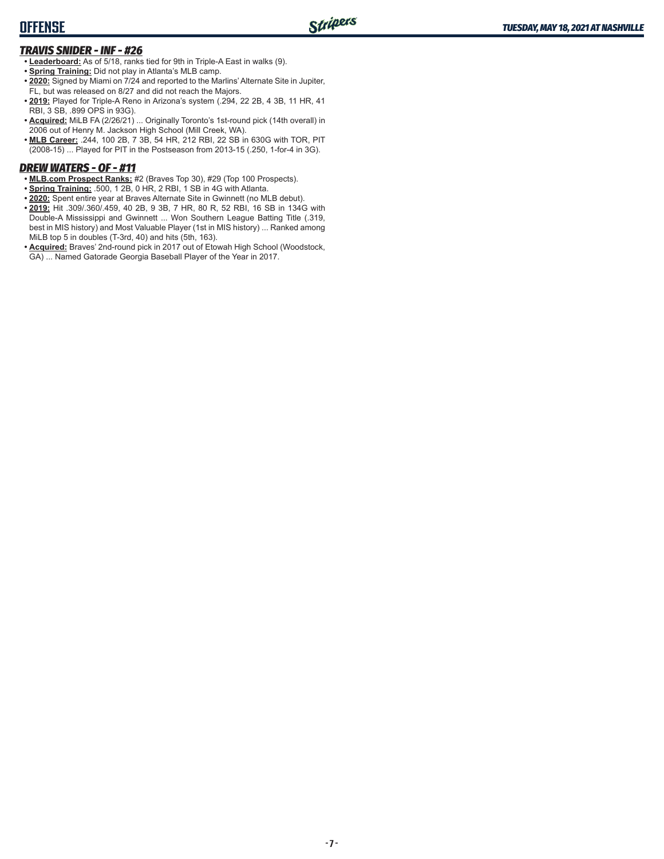## **OFFENSE**

## *TRAVIS SNIDER - INF - #26*

- **• Leaderboard:** As of 5/18, ranks tied for 9th in Triple-A East in walks (9).
- **• Spring Training:** Did not play in Atlanta's MLB camp.
- **• 2020:** Signed by Miami on 7/24 and reported to the Marlins' Alternate Site in Jupiter, FL, but was released on 8/27 and did not reach the Majors.
- **• 2019:** Played for Triple-A Reno in Arizona's system (.294, 22 2B, 4 3B, 11 HR, 41 RBI, 3 SB, .899 OPS in 93G).
- **• Acquired:** MiLB FA (2/26/21) ... Originally Toronto's 1st-round pick (14th overall) in 2006 out of Henry M. Jackson High School (Mill Creek, WA).
- **• MLB Career:** .244, 100 2B, 7 3B, 54 HR, 212 RBI, 22 SB in 630G with TOR, PIT (2008-15) ... Played for PIT in the Postseason from 2013-15 (.250, 1-for-4 in 3G).

## *DREW WATERS - OF - #11*

- **• MLB.com Prospect Ranks:** #2 (Braves Top 30), #29 (Top 100 Prospects).
- **• Spring Training:** .500, 1 2B, 0 HR, 2 RBI, 1 SB in 4G with Atlanta.
- **• 2020:** Spent entire year at Braves Alternate Site in Gwinnett (no MLB debut).
- **• 2019:** Hit .309/.360/.459, 40 2B, 9 3B, 7 HR, 80 R, 52 RBI, 16 SB in 134G with Double-A Mississippi and Gwinnett ... Won Southern League Batting Title (.319, best in MIS history) and Most Valuable Player (1st in MIS history) ... Ranked among MiLB top 5 in doubles (T-3rd, 40) and hits (5th, 163).
- **• Acquired:** Braves' 2nd-round pick in 2017 out of Etowah High School (Woodstock, GA) ... Named Gatorade Georgia Baseball Player of the Year in 2017.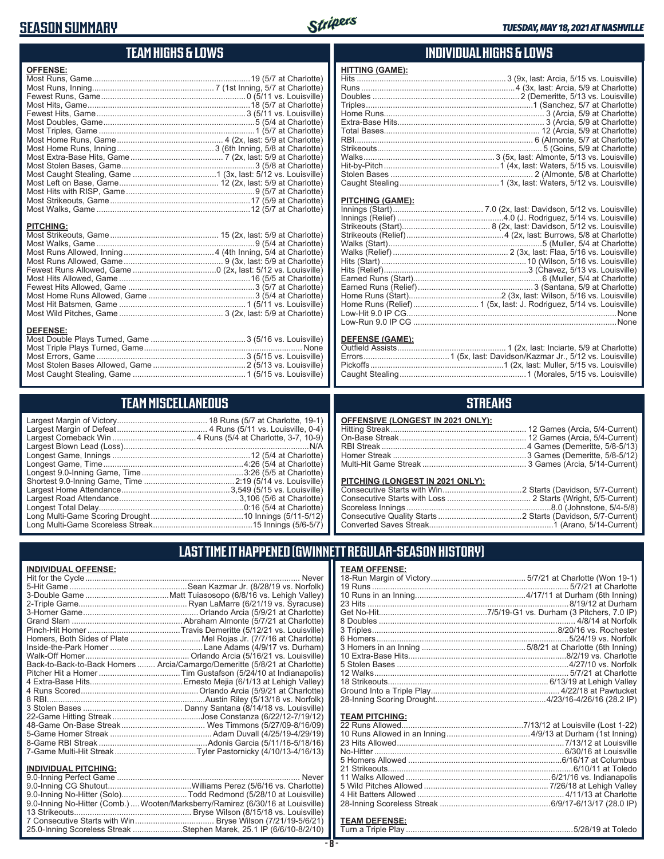## **SEASON SUMMARY**



# **TEAM HIGHS & LOWS**

| <b>OFFENSE:</b>  |  |
|------------------|--|
|                  |  |
|                  |  |
|                  |  |
|                  |  |
|                  |  |
|                  |  |
|                  |  |
|                  |  |
|                  |  |
|                  |  |
|                  |  |
|                  |  |
|                  |  |
|                  |  |
|                  |  |
|                  |  |
|                  |  |
|                  |  |
| <b>PITCHING:</b> |  |
|                  |  |
|                  |  |
|                  |  |
|                  |  |
|                  |  |
|                  |  |
|                  |  |
|                  |  |
|                  |  |
|                  |  |
|                  |  |
| <b>DEFENSE:</b>  |  |
|                  |  |
|                  |  |

## **TEAM MISCELLANEOUS**

Most Stolen Bases Allowed, Game .........................................2 (5/13 vs. Louisville) Most Caught Stealing, Game ..................................................1 (5/15 vs. Louisville)

### **INDIVIDUAL HIGHS & LOWS**

| FIIIING (GAME). |  |
|-----------------|--|
|                 |  |
|                 |  |
|                 |  |
|                 |  |
|                 |  |
|                 |  |
|                 |  |
|                 |  |
|                 |  |
|                 |  |
|                 |  |
|                 |  |
|                 |  |
|                 |  |

#### **PITCHING (GAME):**

**HITTING (GAME):**

#### **DEFENSE (GAME):**

## **STREAKS**

| OFFENSIVE (LONGEST IN 2021 ONLY): |  |
|-----------------------------------|--|
|                                   |  |
|                                   |  |
|                                   |  |
|                                   |  |
|                                   |  |
|                                   |  |

#### **PITCHING (LONGEST IN 2021 ONLY):**

# **LAST TIME IT HAPPENED (GWINNETT REGULAR-SEASON HISTORY)**

| <b>INDIVIDUAL OFFENSE:</b>  |                                                                                 |
|-----------------------------|---------------------------------------------------------------------------------|
|                             |                                                                                 |
|                             |                                                                                 |
|                             |                                                                                 |
|                             |                                                                                 |
|                             |                                                                                 |
|                             |                                                                                 |
|                             |                                                                                 |
|                             | Homers, Both Sides of Plate Mel Rojas Jr. (7/7/16 at Charlotte)                 |
|                             |                                                                                 |
|                             |                                                                                 |
|                             | Back-to-Back-to-Back Homers  Arcia/Camargo/Demeritte (5/8/21 at Charlotte)      |
|                             |                                                                                 |
|                             |                                                                                 |
|                             |                                                                                 |
|                             |                                                                                 |
|                             |                                                                                 |
|                             |                                                                                 |
|                             |                                                                                 |
|                             |                                                                                 |
|                             |                                                                                 |
|                             |                                                                                 |
| <b>INDIVIDUAL PITCHING:</b> |                                                                                 |
|                             |                                                                                 |
|                             |                                                                                 |
|                             | 9.0-Inning No-Hitter (Solo)Todd Redmond (5/28/10 at Louisville)                 |
|                             | 9.0-Inning No-Hitter (Comb.)  Wooten/Marksberry/Ramirez (6/30/16 at Louisville) |
|                             |                                                                                 |

7 Consecutive Starts with Win ................................... Bryse Wilson (7/21/19-5/6/21) 25.0-Inning Scoreless Streak ......................Stephen Marek, 25.1 IP (6/6/10-8/2/10)

#### **TEAM PITCHING:**

#### **TEAM DEFENSE:**